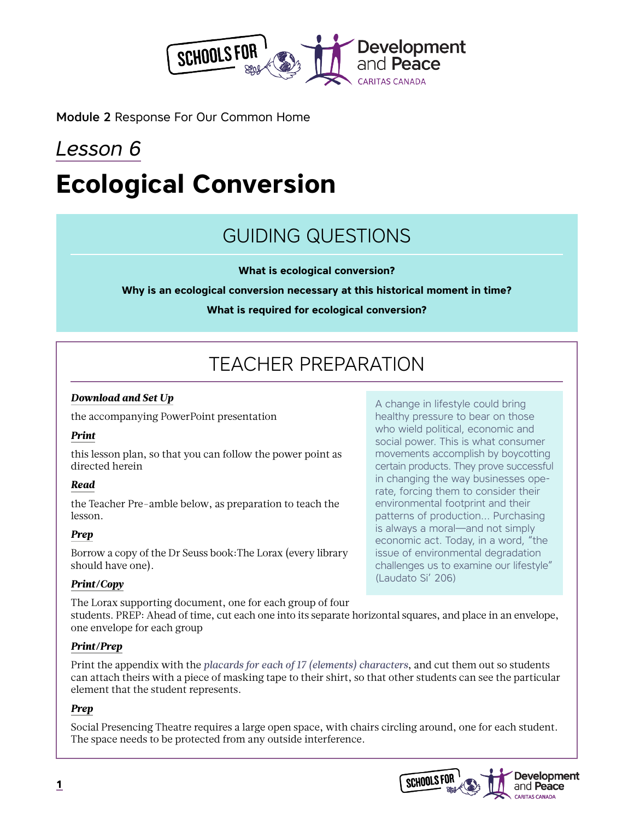

Module 2 Response For Our Common Home

# *Lesson 6* **Ecological Conversion**

## GUIDING QUESTIONS

**What is ecological conversion?**

**Why is an ecological conversion necessary at this historical moment in time?**

**What is required for ecological conversion?** 

# TEACHER PREPARATION

### *Download and Set Up*

the accompanying PowerPoint presentation

### *Print*

this lesson plan, so that you can follow the power point as directed herein

### *Read*

the Teacher Pre-amble below, as preparation to teach the lesson.

### *Prep*

Borrow a copy of the Dr Seuss book:The Lorax (every library should have one).

### *Print/Copy*

The Lorax supporting document, one for each group of four

A change in lifestyle could bring healthy pressure to bear on those who wield political, economic and social power. This is what consumer movements accomplish by boycotting certain products. They prove successful in changing the way businesses operate, forcing them to consider their environmental footprint and their patterns of production… Purchasing is always a moral—and not simply economic act. Today, in a word, "the issue of environmental degradation challenges us to examine our lifestyle" (Laudato Si' 206)

students. PREP: Ahead of time, cut each one into its separate horizontal squares, and place in an envelope, one envelope for each group

### *Print/Prep*

Print the appendix with the *placards for each of 17 (elements) characters*, and cut them out so students can attach theirs with a piece of masking tape to their shirt, so that other students can see the particular element that the student represents.

### *Prep*

Social Presencing Theatre requires a large open space, with chairs circling around, one for each student. The space needs to be protected from any outside interference.

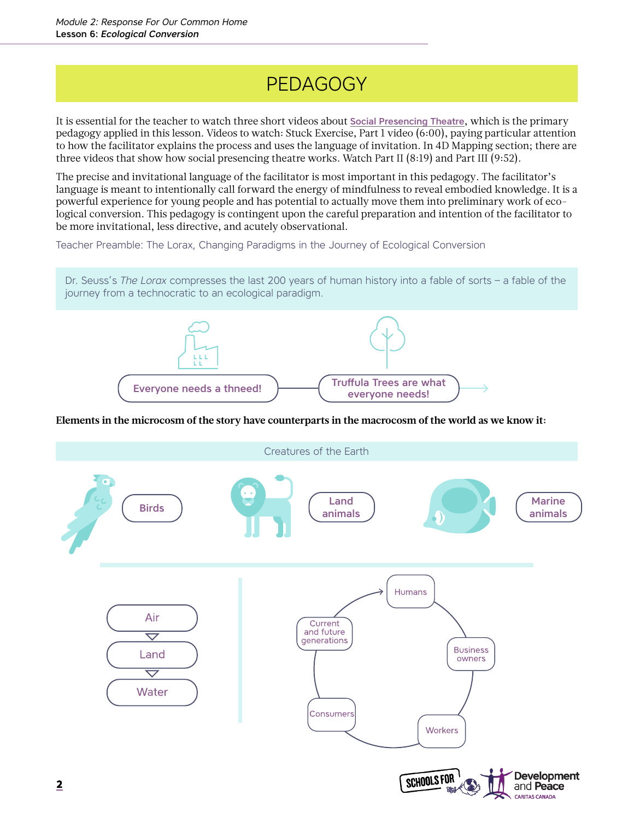# PEDAGOGY

It is essential for the teacher to watch three short videos about [Social Presencing Theatre](https://www.presencing.org/aboutus/spt), which is the primary pedagogy applied in this lesson. Videos to watch: Stuck Exercise, Part 1 video (6:00), paying particular attention to how the facilitator explains the process and uses the language of invitation. In 4D Mapping section; there are three videos that show how social presencing theatre works. Watch Part II (8:19) and Part III (9:52).

The precise and invitational language of the facilitator is most important in this pedagogy. The facilitator's language is meant to intentionally call forward the energy of mindfulness to reveal embodied knowledge. It is a powerful experience for young people and has potential to actually move them into preliminary work of ecological conversion. This pedagogy is contingent upon the careful preparation and intention of the facilitator to be more invitational, less directive, and acutely observational.

Teacher Preamble: The Lorax, Changing Paradigms in the Journey of Ecological Conversion

Dr. Seuss's *The Lorax* compresses the last 200 years of human history into a fable of sorts – a fable of the journey from a technocratic to an ecological paradigm.



### **Elements in the microcosm of the story have counterparts in the macrocosm of the world as we know it:**

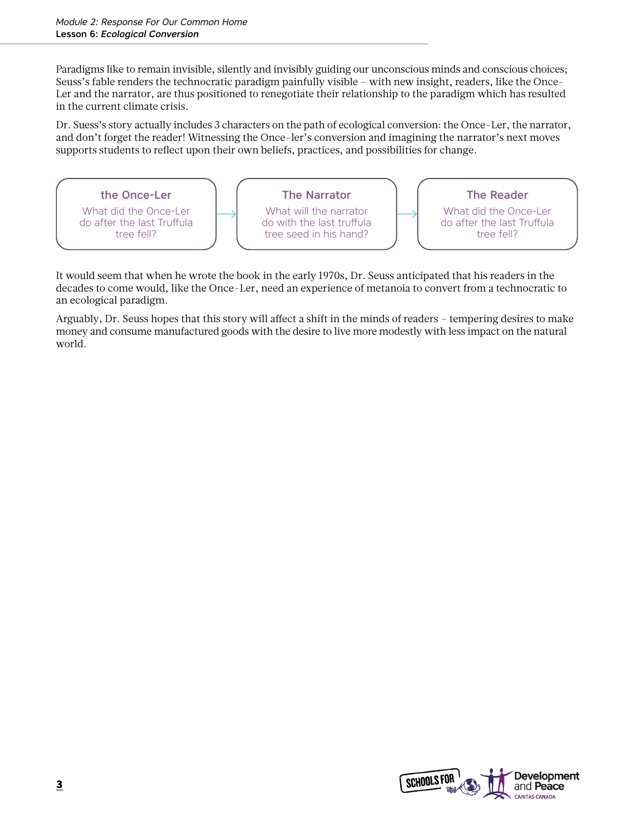Paradigms like to remain invisible, silently and invisibly guiding our unconscious minds and conscious choices; Seuss's fable renders the technocratic paradigm painfully visible – with new insight, readers, like the Once-Ler and the narrator, are thus positioned to renegotiate their relationship to the paradigm which has resulted in the current climate crisis.

Dr. Suess's story actually includes 3 characters on the path of ecological conversion: the Once-Ler, the narrator, and don't forget the reader! Witnessing the Once-ler's conversion and imagining the narrator's next moves supports students to reflect upon their own beliefs, practices, and possibilities for change.



It would seem that when he wrote the book in the early 1970s, Dr. Seuss anticipated that his readers in the decades to come would, like the Once-Ler, need an experience of metanoia to convert from a technocratic to an ecological paradigm.

Arguably, Dr. Seuss hopes that this story will affect a shift in the minds of readers – tempering desires to make money and consume manufactured goods with the desire to live more modestly with less impact on the natural world.

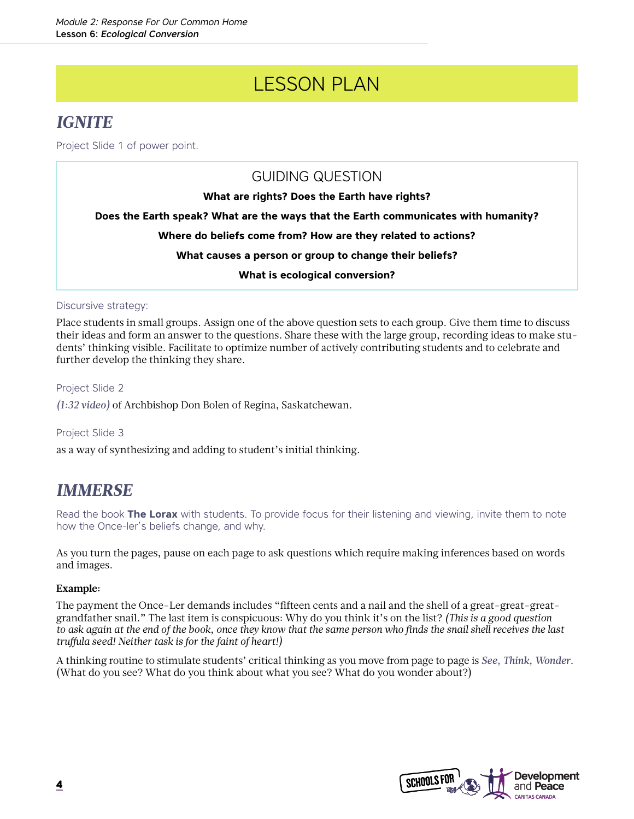# LESSON PLAN

### *IGNITE*

Project Slide 1 of power point.

GUIDING QUESTION **What are rights? Does the Earth have rights? Does the Earth speak? What are the ways that the Earth communicates with humanity? Where do beliefs come from? How are they related to actions? What causes a person or group to change their beliefs? What is ecological conversion?**

Discursive strategy:

Place students in small groups. Assign one of the above question sets to each group. Give them time to discuss their ideas and form an answer to the questions. Share these with the large group, recording ideas to make students' thinking visible. Facilitate to optimize number of actively contributing students and to celebrate and further develop the thinking they share.

Project Slide 2

*(1:32 video)* of Archbishop Don Bolen of Regina, Saskatchewan.

Project Slide 3 as a way of synthesizing and adding to student's initial thinking.

### *IMMERSE*

Read the book **The Lorax** with students. To provide focus for their listening and viewing, invite them to note how the Once-ler's beliefs change, and why.

As you turn the pages, pause on each page to ask questions which require making inferences based on words and images.

### **Example:**

The payment the Once-Ler demands includes "fifteen cents and a nail and the shell of a great-great-greatgrandfather snail." The last item is conspicuous: Why do you think it's on the list? *(This is a good question to ask again at the end of the book, once they know that the same person who finds the snail shell receives the last truffula seed! Neither task is for the faint of heart!)*

A thinking routine to stimulate students' critical thinking as you move from page to page is *See, Think, Wonder*. (What do you see? What do you think about what you see? What do you wonder about?)

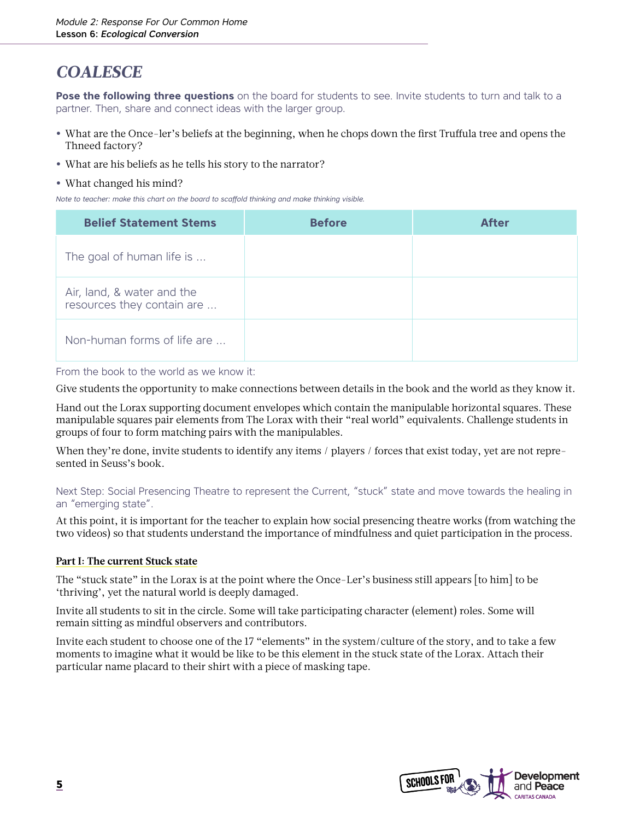### *COALESCE*

**Pose the following three questions** on the board for students to see. Invite students to turn and talk to a partner. Then, share and connect ideas with the larger group.

- **•** What are the Once-ler's beliefs at the beginning, when he chops down the first Truffula tree and opens the Thneed factory?
- **•** What are his beliefs as he tells his story to the narrator?
- **•** What changed his mind?

*Note to teacher: make this chart on the board to scaffold thinking and make thinking visible.* 

| <b>Belief Statement Stems</b>                            | <b>Before</b> | <b>After</b> |
|----------------------------------------------------------|---------------|--------------|
| The goal of human life is                                |               |              |
| Air, land, & water and the<br>resources they contain are |               |              |
| Non-human forms of life are                              |               |              |

From the book to the world as we know it:

Give students the opportunity to make connections between details in the book and the world as they know it.

Hand out the Lorax supporting document envelopes which contain the manipulable horizontal squares. These manipulable squares pair elements from The Lorax with their "real world" equivalents. Challenge students in groups of four to form matching pairs with the manipulables.

When they're done, invite students to identify any items / players / forces that exist today, yet are not represented in Seuss's book.

Next Step: Social Presencing Theatre to represent the Current, "stuck" state and move towards the healing in an "emerging state".

At this point, it is important for the teacher to explain how social presencing theatre works (from watching the two videos) so that students understand the importance of mindfulness and quiet participation in the process.

### **Part I: The current Stuck state**

The "stuck state" in the Lorax is at the point where the Once-Ler's business still appears [to him] to be 'thriving', yet the natural world is deeply damaged.

Invite all students to sit in the circle. Some will take participating character (element) roles. Some will remain sitting as mindful observers and contributors.

Invite each student to choose one of the 17 "elements" in the system/culture of the story, and to take a few moments to imagine what it would be like to be this element in the stuck state of the Lorax. Attach their particular name placard to their shirt with a piece of masking tape.

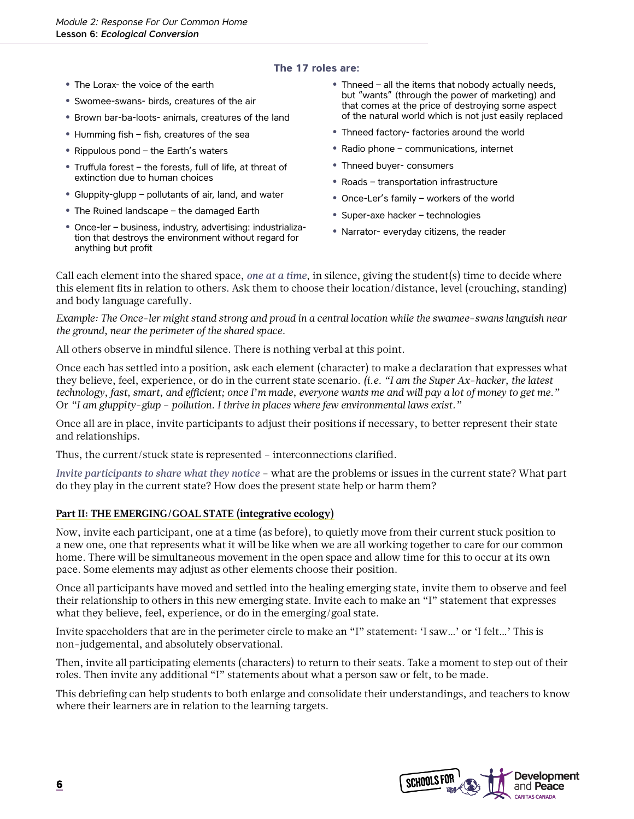### **The 17 roles are:**

- **•** The Lorax- the voice of the earth
- **•** Swomee-swans- birds, creatures of the air
- **•** Brown bar-ba-loots- animals, creatures of the land
- **•** Humming fish fish, creatures of the sea
- **•** Rippulous pond the Earth's waters
- **•** Truffula forest the forests, full of life, at threat of extinction due to human choices
- **•** Gluppity-glupp pollutants of air, land, and water
- **•** The Ruined landscape the damaged Earth
- **•** Once-ler business, industry, advertising: industrialization that destroys the environment without regard for anything but profit
- **•** Thneed all the items that nobody actually needs, but "wants" (through the power of marketing) and that comes at the price of destroying some aspect of the natural world which is not just easily replaced
- **•** Thneed factory- factories around the world
- **•** Radio phone communications, internet
- **•** Thneed buyer- consumers
- **•** Roads transportation infrastructure
- **•** Once-Ler's family workers of the world
- **•** Super-axe hacker technologies
- **•** Narrator- everyday citizens, the reader

Call each element into the shared space, *one at a time*, in silence, giving the student(s) time to decide where this element fits in relation to others. Ask them to choose their location/distance, level (crouching, standing) and body language carefully.

*Example: The Once-ler might stand strong and proud in a central location while the swamee-swans languish near the ground, near the perimeter of the shared space.*

All others observe in mindful silence. There is nothing verbal at this point.

Once each has settled into a position, ask each element (character) to make a declaration that expresses what they believe, feel, experience, or do in the current state scenario. *(i.e. "I am the Super Ax-hacker, the latest technology, fast, smart, and efficient; once I'm made, everyone wants me and will pay a lot of money to get me."* Or *"I am gluppity-glup – pollution. I thrive in places where few environmental laws exist."*

Once all are in place, invite participants to adjust their positions if necessary, to better represent their state and relationships.

Thus, the current/stuck state is represented – interconnections clarified.

*Invite participants to share what they notice* – what are the problems or issues in the current state? What part do they play in the current state? How does the present state help or harm them?

### **Part II: THE EMERGING/GOAL STATE (integrative ecology)**

Now, invite each participant, one at a time (as before), to quietly move from their current stuck position to a new one, one that represents what it will be like when we are all working together to care for our common home. There will be simultaneous movement in the open space and allow time for this to occur at its own pace. Some elements may adjust as other elements choose their position.

Once all participants have moved and settled into the healing emerging state, invite them to observe and feel their relationship to others in this new emerging state. Invite each to make an "I" statement that expresses what they believe, feel, experience, or do in the emerging/goal state.

Invite spaceholders that are in the perimeter circle to make an "I" statement: 'I saw…' or 'I felt…' This is non-judgemental, and absolutely observational.

Then, invite all participating elements (characters) to return to their seats. Take a moment to step out of their roles. Then invite any additional "I" statements about what a person saw or felt, to be made.

This debriefing can help students to both enlarge and consolidate their understandings, and teachers to know where their learners are in relation to the learning targets.

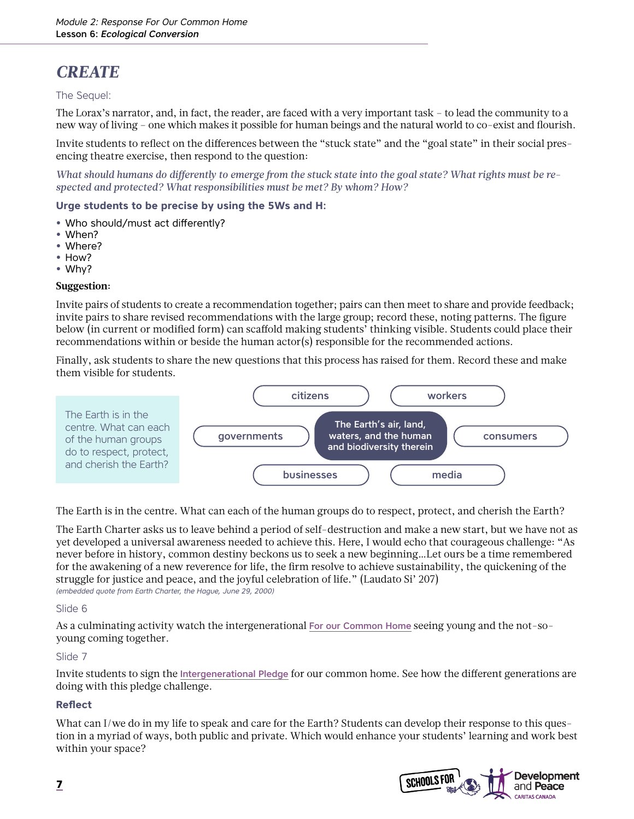### *CREATE*

### The Sequel:

The Lorax's narrator, and, in fact, the reader, are faced with a very important task – to lead the community to a new way of living – one which makes it possible for human beings and the natural world to co-exist and flourish.

Invite students to reflect on the differences between the "stuck state" and the "goal state" in their social presencing theatre exercise, then respond to the question:

*What should humans do differently to emerge from the stuck state into the goal state? What rights must be respected and protected? What responsibilities must be met? By whom? How?*

### **Urge students to be precise by using the 5Ws and H:**

- **•** Who should/must act differently?
- **•** When?
- **•** Where?
- **•** How?
- **•** Why?

#### **Suggestion:**

Invite pairs of students to create a recommendation together; pairs can then meet to share and provide feedback; invite pairs to share revised recommendations with the large group; record these, noting patterns. The figure below (in current or modified form) can scaffold making students' thinking visible. Students could place their recommendations within or beside the human actor(s) responsible for the recommended actions.

Finally, ask students to share the new questions that this process has raised for them. Record these and make them visible for students.



The Earth is in the centre. What can each of the human groups do to respect, protect, and cherish the Earth?

The Earth Charter asks us to leave behind a period of self-destruction and make a new start, but we have not as yet developed a universal awareness needed to achieve this. Here, I would echo that courageous challenge: "As never before in history, common destiny beckons us to seek a new beginning…Let ours be a time remembered for the awakening of a new reverence for life, the firm resolve to achieve sustainability, the quickening of the struggle for justice and peace, and the joyful celebration of life." (Laudato Si' 207) *(embedded quote from Earth Charter, the Hague, June 29, 2000)*

### Slide 6

As a culminating activity watch the intergenerational [For our Common Home](https://youtu.be/uzgQyEug82k) seeing young and the not-soyoung coming together.

#### Slide 7

Invite students to sign the [Intergenerational Pledge](https://www.devp.org/en/campaign/forourcommonhome/pledge) for our common home. See how the different generations are doing with this pledge challenge.

### **Reflect**

What can I/we do in my life to speak and care for the Earth? Students can develop their response to this question in a myriad of ways, both public and private. Which would enhance your students' learning and work best within your space?

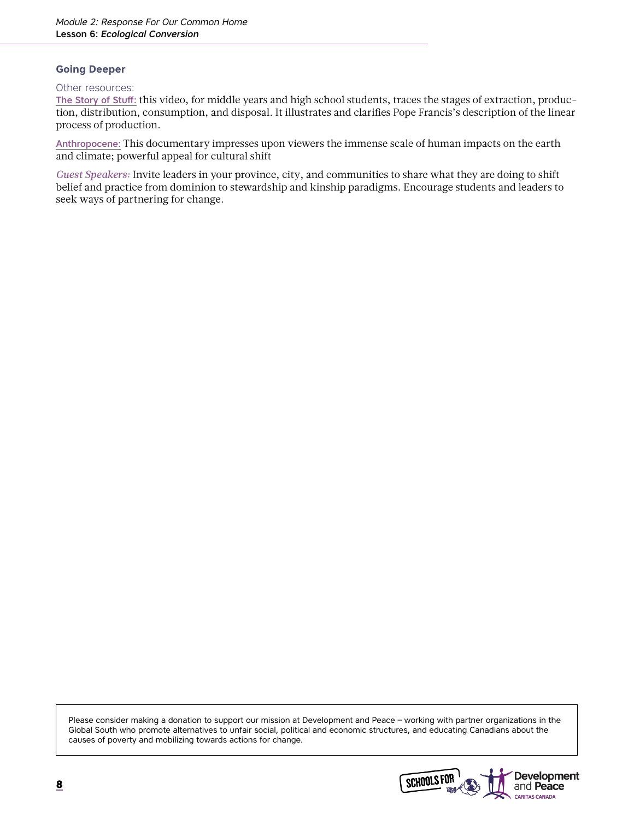#### **Going Deeper**

#### Other resources:

[The Story of Stuff:](https://www.youtube.com/watch?v=9GorqroigqM) this video, for middle years and high school students, traces the stages of extraction, production, distribution, consumption, and disposal. It illustrates and clarifies Pope Francis's description of the linear process of production.

[Anthropocene:](https://theanthropocene.org/film/) This documentary impresses upon viewers the immense scale of human impacts on the earth and climate; powerful appeal for cultural shift

*Guest Speakers:* Invite leaders in your province, city, and communities to share what they are doing to shift belief and practice from dominion to stewardship and kinship paradigms. Encourage students and leaders to seek ways of partnering for change.

Please consider making a donation to support our mission at Development and Peace – working with partner organizations in the Global South who promote alternatives to unfair social, political and economic structures, and educating Canadians about the causes of poverty and mobilizing towards actions for change.

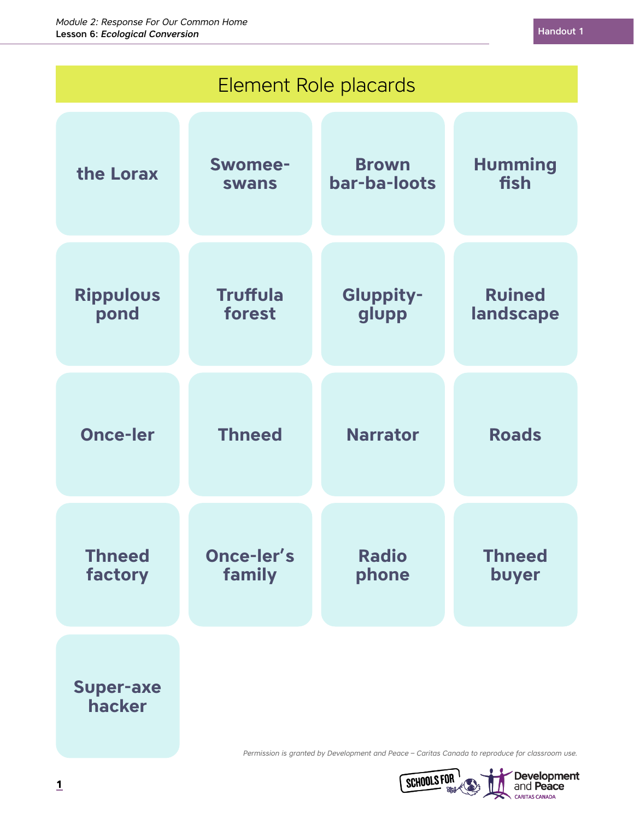